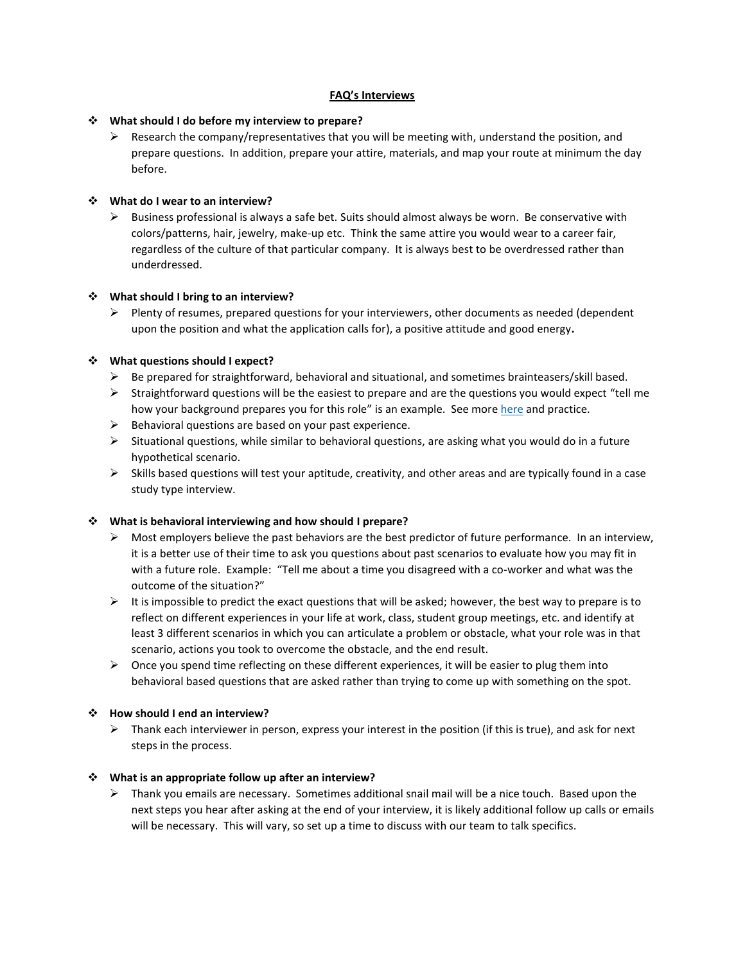# **FAQ's Interviews**

## **What should I do before my interview to prepare?**

 $\triangleright$  Research the company/representatives that you will be meeting with, understand the position, and prepare questions. In addition, prepare your attire, materials, and map your route at minimum the day before.

## **What do I wear to an interview?**

 $\triangleright$  Business professional is always a safe bet. Suits should almost always be worn. Be conservative with colors/patterns, hair, jewelry, make-up etc. Think the same attire you would wear to a career fair, regardless of the culture of that particular company. It is always best to be overdressed rather than underdressed.

## **What should I bring to an interview?**

 $\triangleright$  Plenty of resumes, prepared questions for your interviewers, other documents as needed (dependent upon the position and what the application calls for), a positive attitude and good energy**.**

## **What questions should I expect?**

- $\triangleright$  Be prepared for straightforward, behavioral and situational, and sometimes brainteasers/skill based.
- $\triangleright$  Straightforward questions will be the easiest to prepare and are the questions you would expect "tell me how your background prepares you for this role" is an example. See mor[e here](http://career.vt.edu/job-search/presenting_yourself/interviewing/typical-intv-questions.html) and practice.
- $\triangleright$  Behavioral questions are based on your past experience.
- $\triangleright$  Situational questions, while similar to behavioral questions, are asking what you would do in a future hypothetical scenario.
- $\triangleright$  Skills based questions will test your aptitude, creativity, and other areas and are typically found in a case study type interview.

# **What is behavioral interviewing and how should I prepare?**

- $\triangleright$  Most employers believe the past behaviors are the best predictor of future performance. In an interview, it is a better use of their time to ask you questions about past scenarios to evaluate how you may fit in with a future role. Example: "Tell me about a time you disagreed with a co-worker and what was the outcome of the situation?"
- $\triangleright$  It is impossible to predict the exact questions that will be asked; however, the best way to prepare is to reflect on different experiences in your life at work, class, student group meetings, etc. and identify at least 3 different scenarios in which you can articulate a problem or obstacle, what your role was in that scenario, actions you took to overcome the obstacle, and the end result.
- $\triangleright$  Once you spend time reflecting on these different experiences, it will be easier to plug them into behavioral based questions that are asked rather than trying to come up with something on the spot.

# **How should I end an interview?**

 $\triangleright$  Thank each interviewer in person, express your interest in the position (if this is true), and ask for next steps in the process.

#### **What is an appropriate follow up after an interview?**

 $\triangleright$  Thank you emails are necessary. Sometimes additional snail mail will be a nice touch. Based upon the next steps you hear after asking at the end of your interview, it is likely additional follow up calls or emails will be necessary. This will vary, so set up a time to discuss with our team to talk specifics.